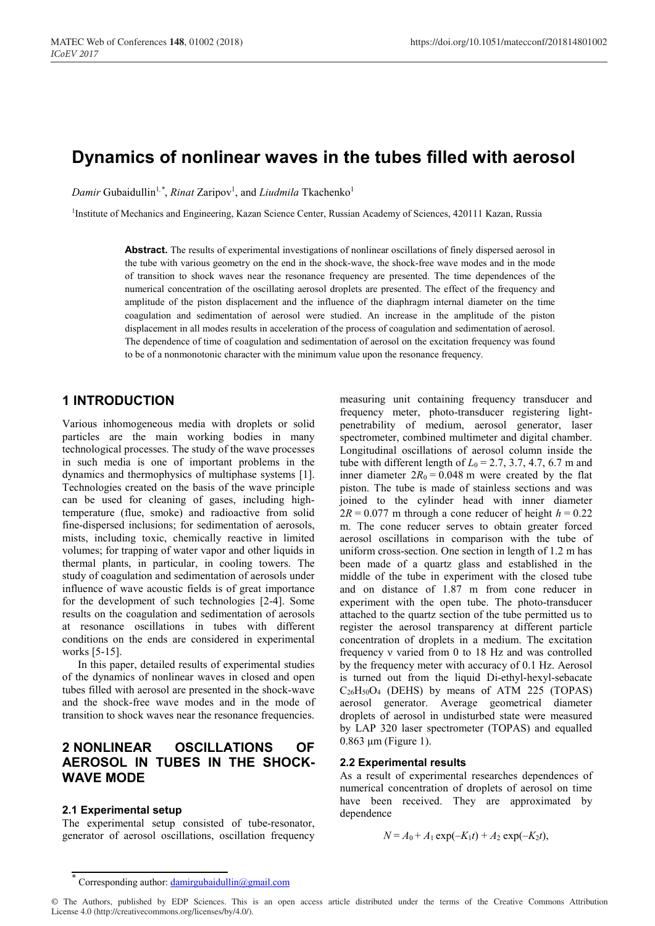# **Dynamics of nonlinear waves in the tubes filled with aerosol**

*Damir* Gubaidullin<sup>1,\*</sup>, *Rinat* Zaripov<sup>1</sup>, and *Liudmila* Tkachenko<sup>1</sup>

<sup>1</sup>Institute of Mechanics and Engineering, Kazan Science Center, Russian Academy of Sciences, 420111 Kazan, Russia

**Abstract.** The results of experimental investigations of nonlinear oscillations of finely dispersed aerosol in the tube with various geometry on the end in the shock-wave, the shock-free wave modes and in the mode of transition to shock waves near the resonance frequency are presented. The time dependences of the numerical concentration of the oscillating aerosol droplets are presented. The effect of the frequency and amplitude of the piston displacement and the influence of the diaphragm internal diameter on the time coagulation and sedimentation of aerosol were studied. An increase in the amplitude of the piston displacement in all modes results in acceleration of the process of coagulation and sedimentation of aerosol. The dependence of time of coagulation and sedimentation of aerosol on the excitation frequency was found to be of a nonmonotonic character with the minimum value upon the resonance frequency.

### **1 INTRODUCTION**

Various inhomogeneous media with droplets or solid particles are the main working bodies in many technological processes. The study of the wave processes in such media is one of important problems in the dynamics and thermophysics of multiphase systems [1]. Technologies created on the basis of the wave principle can be used for cleaning of gases, including hightemperature (flue, smoke) and radioactive from solid fine-dispersed inclusions; for sedimentation of aerosols, mists, including toxic, chemically reactive in limited volumes; for trapping of water vapor and other liquids in thermal plants, in particular, in cooling towers. The study of coagulation and sedimentation of aerosols under influence of wave acoustic fields is of great importance for the development of such technologies [2-4]. Some results on the coagulation and sedimentation of aerosols at resonance oscillations in tubes with different conditions on the ends are considered in experimental works [5-15].

In this paper, detailed results of experimental studies of the dynamics of nonlinear waves in closed and open tubes filled with aerosol are presented in the shock-wave and the shock-free wave modes and in the mode of transition to shock waves near the resonance frequencies.

## **2 NONLINEAR OSCILLATIONS OF AEROSOL IN TUBES IN THE SHOCK-WAVE MODE**

#### **2.1 Experimental setup**

The experimental setup consisted of tube-resonator, generator of aerosol oscillations, oscillation frequency

measuring unit containing frequency transducer and frequency meter, photo-transducer registering lightpenetrability of medium, aerosol generator, laser spectrometer, combined multimeter and digital chamber. Longitudinal oscillations of aerosol column inside the tube with different length of  $L_0 = 2.7, 3.7, 4.7, 6.7$  m and inner diameter  $2R_0 = 0.048$  m were created by the flat piston. The tube is made of stainless sections and was joined to the cylinder head with inner diameter  $2R = 0.077$  m through a cone reducer of height  $h = 0.22$ m. The cone reducer serves to obtain greater forced aerosol oscillations in comparison with the tube of uniform cross-section. One section in length of 1.2 m has been made of a quartz glass and established in the middle of the tube in experiment with the closed tube and on distance of 1.87 m from cone reducer in experiment with the open tube. The photo-transducer attached to the quartz section of the tube permitted us to register the aerosol transparency at different particle concentration of droplets in a medium. The excitation frequency ν varied from 0 to 18 Hz and was controlled by the frequency meter with accuracy of 0.1 Hz. Aerosol is turned out from the liquid Di-ethyl-hexyl-sebacate  $C_{26}H_{50}O_4$  (DEHS) by means of ATM 225 (TOPAS) aerosol generator. Average geometrical diameter droplets of aerosol in undisturbed state were measured by LAP 320 laser spectrometer (TOPAS) and equalled 0.863 μm (Figure 1).

#### **2.2 Experimental results**

As a result of experimental researches dependences of numerical concentration of droplets of aerosol on time have been received. They are approximated by dependence

$$
N = A_0 + A_1 \exp(-K_1 t) + A_2 \exp(-K_2 t),
$$

Corresponding author:  $\frac{\text{damirgubaidullin}(a\text{gmail.com})}{\text{damirgubaidullin}(a\text{gmail.com})}$ 

<sup>©</sup> The Authors, published by EDP Sciences. This is an open access article distributed under the terms of the Creative Commons Attribution License 4.0 (http://creativecommons.org/licenses/by/4.0/).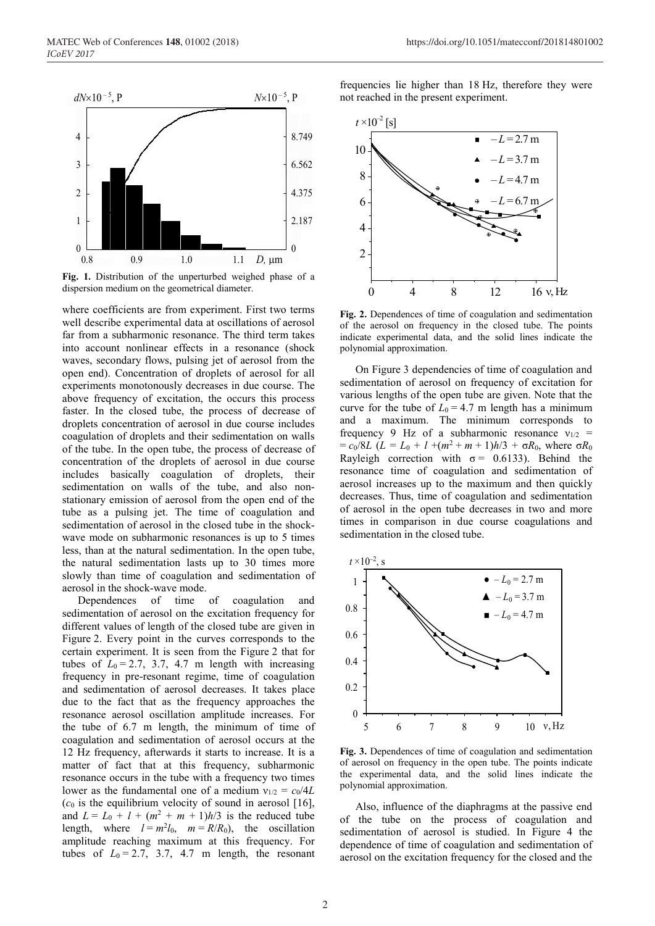

**Fig. 1.** Distribution of the unperturbed weighed phase of a dispersion medium on the geometrical diameter.

where coefficients are from experiment. First two terms well describe experimental data at oscillations of aerosol far from a subharmonic resonance. The third term takes into account nonlinear effects in a resonance (shock waves, secondary flows, pulsing jet of aerosol from the open end). Concentration of droplets of aerosol for all experiments monotonously decreases in due course. The above frequency of excitation, the occurs this process faster. In the closed tube, the process of decrease of droplets concentration of aerosol in due course includes coagulation of droplets and their sedimentation on walls of the tube. In the open tube, the process of decrease of concentration of the droplets of aerosol in due course includes basically coagulation of droplets, their sedimentation on walls of the tube, and also nonstationary emission of aerosol from the open end of the tube as a pulsing jet. The time of coagulation and sedimentation of aerosol in the closed tube in the shockwave mode on subharmonic resonances is up to 5 times less, than at the natural sedimentation. In the open tube, the natural sedimentation lasts up to 30 times more slowly than time of coagulation and sedimentation of aerosol in the shock-wave mode.

Dependences of time of coagulation and sedimentation of aerosol on the excitation frequency for different values of length of the closed tube are given in Figure 2. Every point in the curves corresponds to the certain experiment. It is seen from the Figure 2 that for tubes of  $L_0 = 2.7$ , 3.7, 4.7 m length with increasing frequency in pre-resonant regime, time of coagulation and sedimentation of aerosol decreases. It takes place due to the fact that as the frequency approaches the resonance aerosol oscillation amplitude increases. For the tube of 6.7 m length, the minimum of time of coagulation and sedimentation of aerosol occurs at the 12 Hz frequency, afterwards it starts to increase. It is a matter of fact that at this frequency, subharmonic resonance occurs in the tube with a frequency two times lower as the fundamental one of a medium  $v_{1/2} = c_0/4L$  $(c<sub>0</sub>$  is the equilibrium velocity of sound in aerosol [16], and  $L = L_0 + l + (m^2 + m + 1)h/3$  is the reduced tube length, where  $l = m^2 l_0$ ,  $m = R/R_0$ ), the oscillation amplitude reaching maximum at this frequency. For tubes of  $L_0 = 2.7$ , 3.7, 4.7 m length, the resonant

frequencies lie higher than 18 Hz, therefore they were not reached in the present experiment.



**Fig. 2.** Dependences of time of coagulation and sedimentation of the aerosol on frequency in the closed tube. The points indicate experimental data, and the solid lines indicate the polynomial approximation.

On Figure 3 dependencies of time of coagulation and sedimentation of aerosol on frequency of excitation for various lengths of the open tube are given. Note that the curve for the tube of  $L_0 = 4.7$  m length has a minimum and a maximum. The minimum corresponds to frequency 9 Hz of a subharmonic resonance  $v_{1/2}$  =  $= c_0/8L$  (*L* = *L*<sub>0</sub> + *l* +(*m*<sup>2</sup> + *m* + 1)*h*/3 + σ*R*<sub>0</sub>, where σ*R*<sub>0</sub> Rayleigh correction with  $\sigma = 0.6133$ ). Behind the resonance time of coagulation and sedimentation of aerosol increases up to the maximum and then quickly decreases. Thus, time of coagulation and sedimentation of aerosol in the open tube decreases in two and more times in comparison in due course coagulations and sedimentation in the closed tube.



**Fig. 3.** Dependences of time of coagulation and sedimentation of aerosol on frequency in the open tube. The points indicate the experimental data, and the solid lines indicate the polynomial approximation.

Also, influence of the diaphragms at the passive end of the tube on the process of coagulation and sedimentation of aerosol is studied. In Figure 4 the dependence of time of coagulation and sedimentation of aerosol on the excitation frequency for the closed and the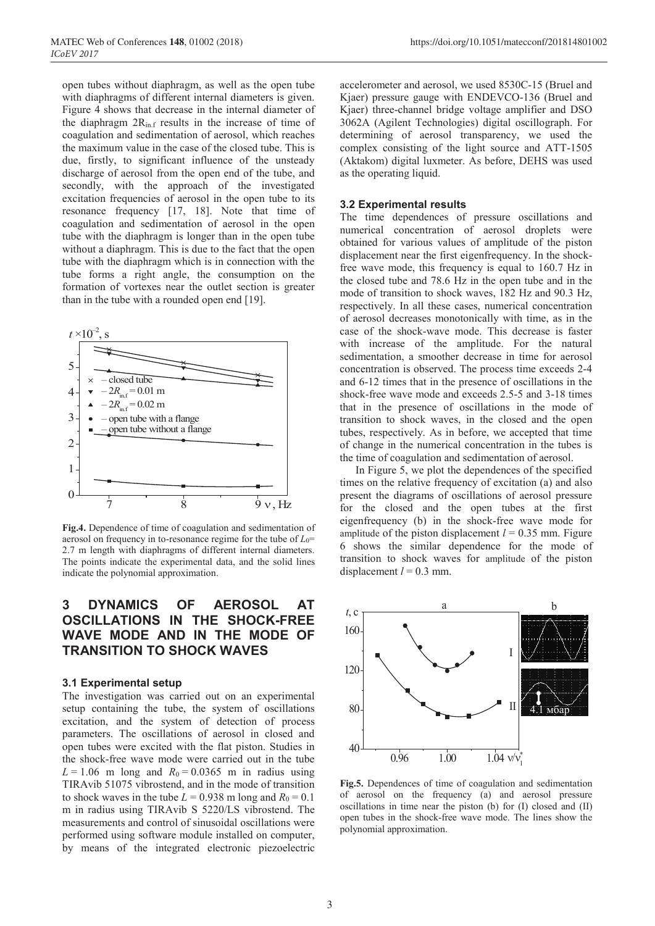open tubes without diaphragm, as well as the open tube with diaphragms of different internal diameters is given. Figure 4 shows that decrease in the internal diameter of the diaphragm  $2R_{\text{in.f}}$  results in the increase of time of coagulation and sedimentation of aerosol, which reaches the maximum value in the case of the closed tube. This is due, firstly, to significant influence of the unsteady discharge of aerosol from the open end of the tube, and secondly, with the approach of the investigated excitation frequencies of aerosol in the open tube to its resonance frequency [17, 18]. Note that time of coagulation and sedimentation of aerosol in the open tube with the diaphragm is longer than in the open tube without a diaphragm. This is due to the fact that the open tube with the diaphragm which is in connection with the tube forms a right angle, the consumption on the formation of vortexes near the outlet section is greater than in the tube with a rounded open end [19].



**Fig.4.** Dependence of time of coagulation and sedimentation of aerosol on frequency in to-resonance regime for the tube of *L*0= 2.7 m length with diaphragms of different internal diameters. The points indicate the experimental data, and the solid lines indicate the polynomial approximation.

### **3 DYNAMICS OF AEROSOL AT OSCILLATIONS IN THE SHOCK-FREE WAVE MODE AND IN THE MODE OF TRANSITION TO SHOCK WAVES**

#### **3.1 Experimental setup**

The investigation was carried out on an experimental setup containing the tube, the system of oscillations excitation, and the system of detection of process parameters. The oscillations of aerosol in closed and open tubes were excited with the flat piston. Studies in the shock-free wave mode were carried out in the tube  $L = 1.06$  m long and  $R_0 = 0.0365$  m in radius using TIRAvib 51075 vibrostend, and in the mode of transition to shock waves in the tube  $L = 0.938$  m long and  $R_0 = 0.1$ m in radius using TIRAvib S 5220/LS vibrostend. The measurements and control of sinusoidal oscillations were performed using software module installed on computer, by means of the integrated electronic piezoelectric

accelerometer and aerosol, we used 8530C-15 (Bruel and Kjaer) pressure gauge with ENDEVCO-136 (Bruel and Kjaer) three-channel bridge voltage amplifier and DSO 3062A (Agilent Technologies) digital oscillograph. For determining of aerosol transparency, we used the complex consisting of the light source and ATT-1505 (Aktakom) digital luxmeter. As before, DEHS was used as the operating liquid.

#### **3.2 Experimental results**

The time dependences of pressure oscillations and numerical concentration of aerosol droplets were obtained for various values of amplitude of the piston displacement near the first eigenfrequency. In the shockfree wave mode, this frequency is equal to 160.7 Hz in the closed tube and 78.6 Hz in the open tube and in the mode of transition to shock waves, 182 Hz and 90.3 Hz, respectively. In all these cases, numerical concentration of aerosol decreases monotonically with time, as in the case of the shock-wave mode. This decrease is faster with increase of the amplitude. For the natural sedimentation, a smoother decrease in time for aerosol concentration is observed. The process time exceeds 2-4 and 6-12 times that in the presence of oscillations in the shock-free wave mode and exceeds 2.5-5 and 3-18 times that in the presence of oscillations in the mode of transition to shock waves, in the closed and the open tubes, respectively. As in before, we accepted that time of change in the numerical concentration in the tubes is the time of coagulation and sedimentation of aerosol.

In Figure 5, we plot the dependences of the specified times on the relative frequency of excitation (a) and also present the diagrams of oscillations of aerosol pressure for the closed and the open tubes at the first eigenfrequency (b) in the shock-free wave mode for amplitude of the piston displacement  $l = 0.35$  mm. Figure 6 shows the similar dependence for the mode of transition to shock waves for amplitude of the piston displacement  $l = 0.3$  mm.



**Fig.5.** Dependences of time of coagulation and sedimentation of aerosol on the frequency (a) and aerosol pressure oscillations in time near the piston (b) for (I) closed and (II) open tubes in the shock-free wave mode. The lines show the polynomial approximation.